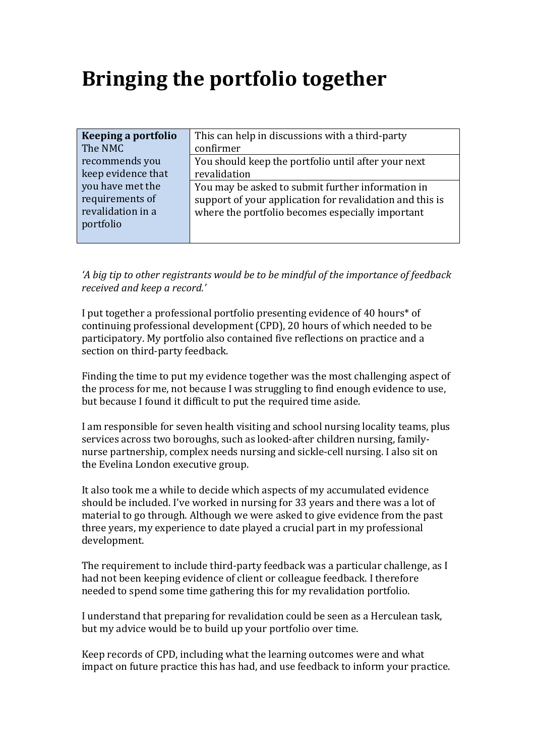## **Bringing the portfolio together**

| Keeping a portfolio | This can help in discussions with a third-party          |
|---------------------|----------------------------------------------------------|
|                     |                                                          |
| The NMC             | confirmer                                                |
| recommends you      | You should keep the portfolio until after your next      |
| keep evidence that  | revalidation                                             |
| you have met the    | You may be asked to submit further information in        |
| requirements of     | support of your application for revalidation and this is |
| revalidation in a   | where the portfolio becomes especially important         |
| portfolio           |                                                          |
|                     |                                                          |

'A big tip to other registrants would be to be mindful of the importance of feedback *received and keep a record.'*

I put together a professional portfolio presenting evidence of 40 hours\* of continuing professional development (CPD), 20 hours of which needed to be participatory. My portfolio also contained five reflections on practice and a section on third-party feedback.

Finding the time to put my evidence together was the most challenging aspect of the process for me, not because I was struggling to find enough evidence to use, but because I found it difficult to put the required time aside.

I am responsible for seven health visiting and school nursing locality teams, plus services across two boroughs, such as looked-after children nursing, familynurse partnership, complex needs nursing and sickle-cell nursing. I also sit on the Evelina London executive group.

It also took me a while to decide which aspects of my accumulated evidence should be included. I've worked in nursing for 33 years and there was a lot of material to go through. Although we were asked to give evidence from the past three years, my experience to date played a crucial part in my professional development.

The requirement to include third-party feedback was a particular challenge, as I had not been keeping evidence of client or colleague feedback. I therefore needed to spend some time gathering this for my revalidation portfolio.

I understand that preparing for revalidation could be seen as a Herculean task, but my advice would be to build up your portfolio over time.

Keep records of CPD, including what the learning outcomes were and what impact on future practice this has had, and use feedback to inform your practice.